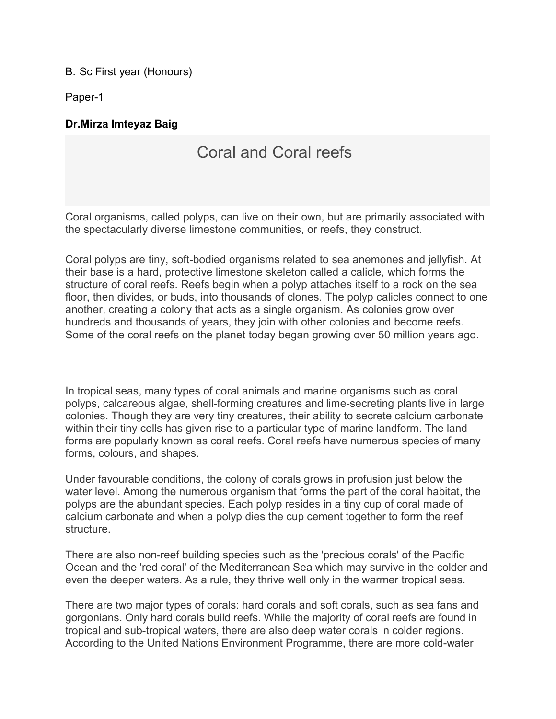## B. Sc First year (Honours)

Paper-1

## **Dr.Mirza Imteyaz Baig**

## Coral and Coral reefs

Coral organisms, called polyps, can live on their own, but are primarily associated with the spectacularly diverse limestone communities, or reefs, they construct.

Coral polyps are tiny, soft-bodied organisms related to sea anemones and jellyfish. At their base is a hard, protective limestone skeleton called a calicle, which forms the structure of coral reefs. Reefs begin when a polyp attaches itself to a rock on the sea floor, then divides, or buds, into thousands of clones. The polyp calicles connect to one another, creating a colony that acts as a single organism. As colonies grow over hundreds and thousands of years, they join with other colonies and become reefs. Some of the coral reefs on the planet today began growing over 50 million years ago.

In tropical seas, many types of coral animals and marine organisms such as coral polyps, calcareous algae, shell-forming creatures and lime-secreting plants live in large colonies. Though they are very tiny creatures, their ability to secrete calcium carbonate within their tiny cells has given rise to a particular type of marine landform. The land forms are popularly known as coral reefs. Coral reefs have numerous species of many forms, colours, and shapes.

Under favourable conditions, the colony of corals grows in profusion just below the water level. Among the numerous organism that forms the part of the coral habitat, the polyps are the abundant species. Each polyp resides in a tiny cup of coral made of calcium carbonate and when a polyp dies the cup cement together to form the reef structure.

There are also non-reef building species such as the 'precious corals' of the Pacific Ocean and the 'red coral' of the Mediterranean Sea which may survive in the colder and even the deeper waters. As a rule, they thrive well only in the warmer tropical seas.

There are two major types of corals: hard corals and soft corals, such as sea fans and gorgonians. Only hard corals build reefs. While the majority of coral reefs are found in tropical and sub-tropical waters, there are also deep water corals in colder regions. According to the United Nations Environment Programme, there are more cold-water